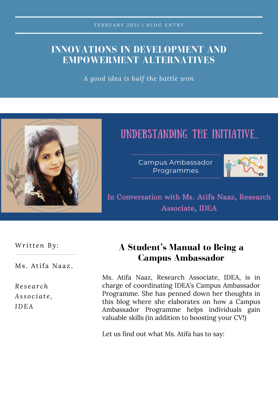## **INNOVATIONS IN DEVELOPMENT AND EMPOWERMENT ALTERNATIVES**

*A good idea is half the battle won*



# UNDERSTANDING THE INITIATIVE...

Campus Ambassador Programmes



In Conversation with Ms. Atifa Naaz, Research Associate, IDEA

*Wr itt en By :*

Ms. Atifa Naaz,

*Re s e a r ch As s o c i a t e , IDEA*

## **A Student's Manual to Being a Campus Ambassador**

Ms. Atifa Naaz, Research Associate, IDEA, is in charge of coordinating IDEA's Campus Ambassador Programme. She has penned down her thoughts in this blog where she elaborates on how a Campus Ambassador Programme helps individuals gain valuable skills (in addition to boosting your CV!)

Let us find out what Ms. Atifa has to say: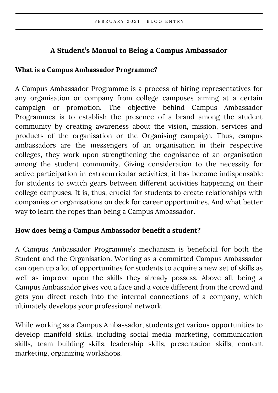### **A Student's Manual to Being a Campus Ambassador**

#### **What is a Campus Ambassador Programme?**

A Campus Ambassador Programme is a process of hiring representatives for any organisation or company from college campuses aiming at a certain campaign or promotion. The objective behind Campus Ambassador Programmes is to establish the presence of a brand among the student community by creating awareness about the vision, mission, services and products of the organisation or the Organising campaign. Thus, campus ambassadors are the messengers of an organisation in their respective colleges, they work upon strengthening the cognisance of an organisation among the student community. Giving consideration to the necessity for active participation in extracurricular activities, it has become indispensable for students to switch gears between different activities happening on their college campuses. It is, thus, crucial for students to create relationships with companies or organisations on deck for career opportunities. And what better way to learn the ropes than being a Campus Ambassador.

#### **How does being a Campus Ambassador benefit a student?**

A Campus Ambassador Programme's mechanism is beneficial for both the Student and the Organisation. Working as a committed Campus Ambassador can open up a lot of opportunities for students to acquire a new set of skills as well as improve upon the skills they already possess. Above all, being a Campus Ambassador gives you a face and a voice different from the crowd and gets you direct reach into the internal connections of a company, which ultimately develops your professional network.

While working as a Campus Ambassador, students get various opportunities to develop manifold skills, including social media marketing, communication skills, team building skills, leadership skills, presentation skills, content marketing, organizing workshops.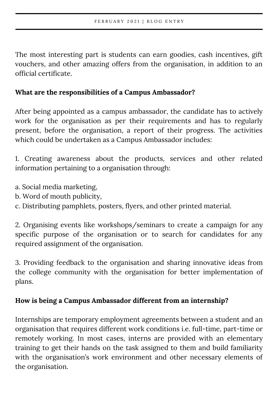The most interesting part is students can earn goodies, cash incentives, gift vouchers, and other amazing offers from the organisation, in addition to an official certificate.

#### **What are the responsibilities of a Campus Ambassador?**

After being appointed as a campus ambassador, the candidate has to actively work for the organisation as per their requirements and has to regularly present, before the organisation, a report of their progress. The activities which could be undertaken as a Campus Ambassador includes:

1. Creating awareness about the products, services and other related information pertaining to a organisation through:

- a. Social media marketing,
- b. Word of mouth publicity,
- c. Distributing pamphlets, posters, flyers, and other printed material.

2. Organising events like workshops/seminars to create a campaign for any specific purpose of the organisation or to search for candidates for any required assignment of the organisation.

3. Providing feedback to the organisation and sharing innovative ideas from the college community with the organisation for better implementation of plans.

#### **How is being a Campus Ambassador different from an internship?**

Internships are temporary employment agreements between a student and an organisation that requires different work conditions i.e. full-time, part-time or remotely working. In most cases, interns are provided with an elementary training to get their hands on the task assigned to them and build familiarity with the organisation's work environment and other necessary elements of the organisation.